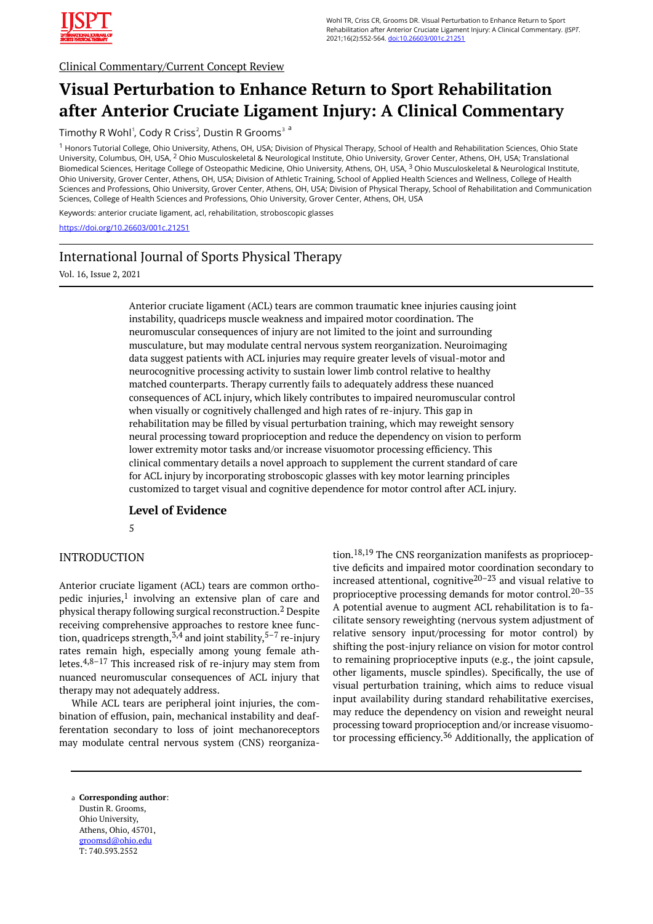

Clinical Commentary/Current Concept Review

# **Visual Perturbation to Enhance Return to Sport Rehabilitation after Anterior Cruciate Ligament Injury: A Clinical Commentary**

Timothy R Wohl<sup>1</sup>, Cody R Criss<sup>2</sup>, Dustin R Grooms<sup>3 a</sup>

<sup>1</sup> Honors Tutorial College, Ohio University, Athens, OH, USA; Division of Physical Therapy, School of Health and Rehabilitation Sciences, Ohio State University, Columbus, OH, USA, <sup>2</sup> Ohio Musculoskeletal & Neurological Institute, Ohio University, Grover Center, Athens, OH, USA; Translational Biomedical Sciences, Heritage College of Osteopathic Medicine, Ohio University, Athens, OH, USA, <sup>3</sup> Ohio Musculoskeletal & Neurological Institute, Ohio University, Grover Center, Athens, OH, USA; Division of Athletic Training, School of Applied Health Sciences and Wellness, College of Health Sciences and Professions, Ohio University, Grover Center, Athens, OH, USA; Division of Physical Therapy, School of Rehabilitation and Communication Sciences, College of Health Sciences and Professions, Ohio University, Grover Center, Athens, OH, USA

Keywords: anterior cruciate ligament, acl, rehabilitation, stroboscopic glasses

<https://doi.org/10.26603/001c.21251>

## International Journal of Sports Physical Therapy

Vol. 16, Issue 2, 2021

Anterior cruciate ligament (ACL) tears are common traumatic knee injuries causing joint instability, quadriceps muscle weakness and impaired motor coordination. The neuromuscular consequences of injury are not limited to the joint and surrounding musculature, but may modulate central nervous system reorganization. Neuroimaging data suggest patients with ACL injuries may require greater levels of visual-motor and neurocognitive processing activity to sustain lower limb control relative to healthy matched counterparts. Therapy currently fails to adequately address these nuanced consequences of ACL injury, which likely contributes to impaired neuromuscular control when visually or cognitively challenged and high rates of re-injury. This gap in rehabilitation may be filled by visual perturbation training, which may reweight sensory neural processing toward proprioception and reduce the dependency on vision to perform lower extremity motor tasks and/or increase visuomotor processing efficiency. This clinical commentary details a novel approach to supplement the current standard of care for ACL injury by incorporating stroboscopic glasses with key motor learning principles customized to target visual and cognitive dependence for motor control after ACL injury.

#### **Level of Evidence**

#### 5

#### INTRODUCTION

Anterior cruciate ligament (ACL) tears are common orthopedic injuries,<sup>1</sup> involving an extensive plan of care and physical therapy following surgical reconstruction.<sup>2</sup> Despite receiving comprehensive approaches to restore knee function, quadriceps strength,  $5.4$  and joint stability,  $5-7$  re-injury rates remain high, especially among young female athletes.4,8–17 This increased risk of re-injury may stem from nuanced neuromuscular consequences of ACL injury that therapy may not adequately address.

While ACL tears are peripheral joint injuries, the combination of effusion, pain, mechanical instability and deafferentation secondary to loss of joint mechanoreceptors may modulate central nervous system (CNS) reorganization.18,19 The CNS reorganization manifests as proprioceptive deficits and impaired motor coordination secondary to increased attentional, cognitive 20–23 and visual relative to proprioceptive processing demands for motor control.<sup>20–35</sup> A potential avenue to augment ACL rehabilitation is to facilitate sensory reweighting (nervous system adjustment of relative sensory input/processing for motor control) by shifting the post-injury reliance on vision for motor control to remaining proprioceptive inputs (e.g., the joint capsule, other ligaments, muscle spindles). Specifically, the use of visual perturbation training, which aims to reduce visual input availability during standard rehabilitative exercises, may reduce the dependency on vision and reweight neural processing toward proprioception and/or increase visuomotor processing efficiency.<sup>36</sup> Additionally, the application of

**Corresponding author**: a Dustin R. Grooms, Ohio University, Athens, Ohio, 45701, [groomsd@ohio.edu](mailto:groomsd@ohio.edu)  T: 740.593.2552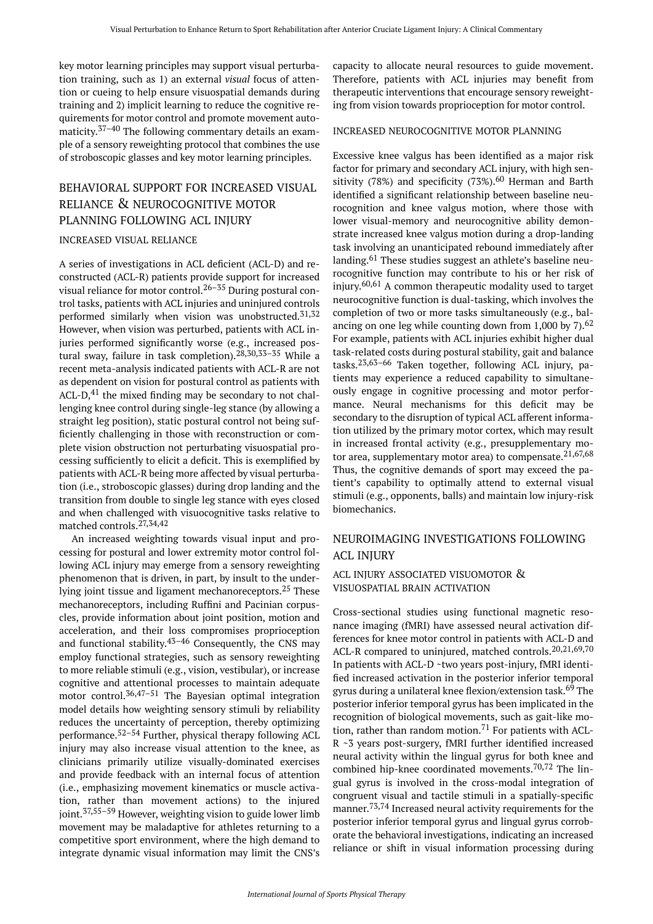key motor learning principles may support visual perturbation training, such as 1) an external *visual* focus of attention or cueing to help ensure visuospatial demands during training and 2) implicit learning to reduce the cognitive requirements for motor control and promote movement automaticity. 37–40 The following commentary details an example of a sensory reweighting protocol that combines the use of stroboscopic glasses and key motor learning principles.

## BEHAVIORAL SUPPORT FOR INCREASED VISUAL RELIANCE & NEUROCOGNITIVE MOTOR PLANNING FOLLOWING ACL INJURY

#### INCREASED VISUAL RELIANCE

A series of investigations in ACL deficient (ACL-D) and reconstructed (ACL-R) patients provide support for increased visual reliance for motor control.<sup>26–35</sup> During postural control tasks, patients with ACL injuries and uninjured controls performed similarly when vision was unobstructed.<sup>31,32</sup> However, when vision was perturbed, patients with ACL injuries performed significantly worse (e.g., increased postural sway, failure in task completion).28,30,33–35 While a recent meta-analysis indicated patients with ACL-R are not as dependent on vision for postural control as patients with ACL- $D,$ <sup>41</sup> the mixed finding may be secondary to not challenging knee control during single-leg stance (by allowing a straight leg position), static postural control not being sufficiently challenging in those with reconstruction or complete vision obstruction not perturbating visuospatial processing sufficiently to elicit a deficit. This is exemplified by patients with ACL-R being more affected by visual perturbation (i.e., stroboscopic glasses) during drop landing and the transition from double to single leg stance with eyes closed and when challenged with visuocognitive tasks relative to matched controls.27,34,42

An increased weighting towards visual input and processing for postural and lower extremity motor control following ACL injury may emerge from a sensory reweighting phenomenon that is driven, in part, by insult to the underlying joint tissue and ligament mechanoreceptors.<sup>25</sup> These mechanoreceptors, including Ruffini and Pacinian corpuscles, provide information about joint position, motion and acceleration, and their loss compromises proprioception and functional stability. $43-46$  Consequently, the CNS may employ functional strategies, such as sensory reweighting to more reliable stimuli (e.g., vision, vestibular), or increase cognitive and attentional processes to maintain adequate motor control.<sup>36,47–51</sup> The Bayesian optimal integration model details how weighting sensory stimuli by reliability reduces the uncertainty of perception, thereby optimizing performance.52–54 Further, physical therapy following ACL injury may also increase visual attention to the knee, as clinicians primarily utilize visually-dominated exercises and provide feedback with an internal focus of attention (i.e., emphasizing movement kinematics or muscle activation, rather than movement actions) to the injured joint.37,55–59 However, weighting vision to guide lower limb movement may be maladaptive for athletes returning to a competitive sport environment, where the high demand to integrate dynamic visual information may limit the CNS's

capacity to allocate neural resources to guide movement. Therefore, patients with ACL injuries may benefit from therapeutic interventions that encourage sensory reweighting from vision towards proprioception for motor control.

#### INCREASED NEUROCOGNITIVE MOTOR PLANNING

Excessive knee valgus has been identified as a major risk factor for primary and secondary ACL injury, with high sensitivity (78%) and specificity (73%).<sup>60</sup> Herman and Barth identified a significant relationship between baseline neurocognition and knee valgus motion, where those with lower visual-memory and neurocognitive ability demonstrate increased knee valgus motion during a drop-landing task involving an unanticipated rebound immediately after landing.<sup>61</sup> These studies suggest an athlete's baseline neurocognitive function may contribute to his or her risk of injury. 60,61 A common therapeutic modality used to target neurocognitive function is dual-tasking, which involves the completion of two or more tasks simultaneously (e.g., balancing on one leg while counting down from 1,000 by 7 $.62$ For example, patients with ACL injuries exhibit higher dual task-related costs during postural stability, gait and balance tasks.23,63–66 Taken together, following ACL injury, patients may experience a reduced capability to simultaneously engage in cognitive processing and motor performance. Neural mechanisms for this deficit may be secondary to the disruption of typical ACL afferent information utilized by the primary motor cortex, which may result in increased frontal activity (e.g., presupplementary motor area, supplementary motor area) to compensate. $21,67,68$ Thus, the cognitive demands of sport may exceed the patient's capability to optimally attend to external visual stimuli (e.g., opponents, balls) and maintain low injury-risk biomechanics.

### NEUROIMAGING INVESTIGATIONS FOLLOWING ACL INJURY

#### ACL INJURY ASSOCIATED VISUOMOTOR & VISUOSPATIAL BRAIN ACTIVATION

Cross-sectional studies using functional magnetic resonance imaging (fMRI) have assessed neural activation differences for knee motor control in patients with ACL-D and ACL-R compared to uninjured, matched controls.20,21,69,70 In patients with ACL-D ~two years post-injury, fMRI identified increased activation in the posterior inferior temporal gyrus during a unilateral knee flexion/extension task.<sup>69</sup> The posterior inferior temporal gyrus has been implicated in the recognition of biological movements, such as gait-like motion, rather than random motion.<sup>71</sup> For patients with ACL-R ~3 years post-surgery, fMRI further identified increased neural activity within the lingual gyrus for both knee and combined hip-knee coordinated movements.70,72 The lingual gyrus is involved in the cross-modal integration of congruent visual and tactile stimuli in a spatially-specific manner. 73,74 Increased neural activity requirements for the posterior inferior temporal gyrus and lingual gyrus corroborate the behavioral investigations, indicating an increased reliance or shift in visual information processing during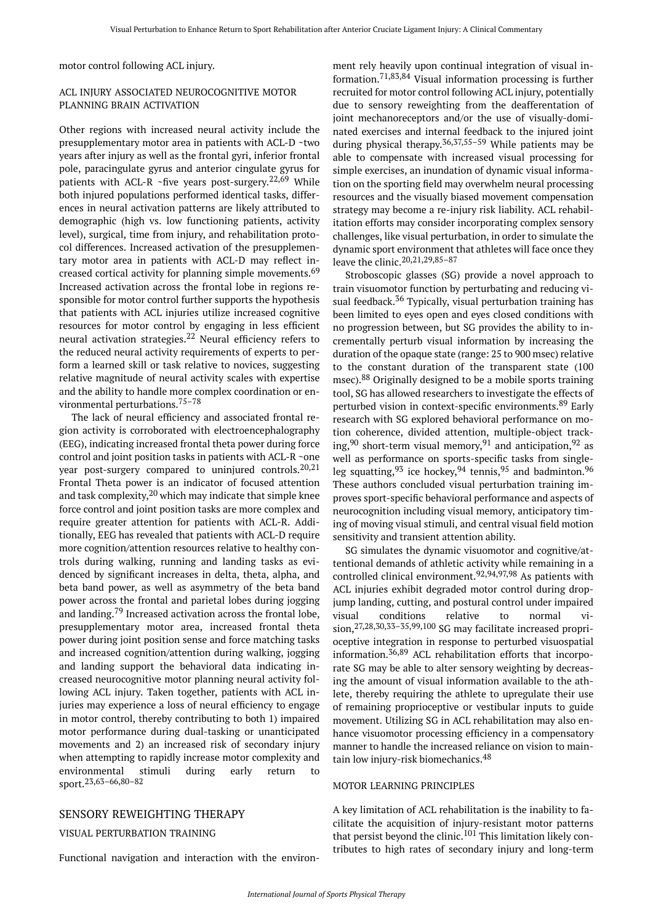motor control following ACL injury.

#### ACL INJURY ASSOCIATED NEUROCOGNITIVE MOTOR PLANNING BRAIN ACTIVATION

Other regions with increased neural activity include the presupplementary motor area in patients with ACL-D ~two years after injury as well as the frontal gyri, inferior frontal pole, paracingulate gyrus and anterior cingulate gyrus for patients with ACL-R  $\sim$  five years post-surgery.<sup>22,69</sup> While both injured populations performed identical tasks, differences in neural activation patterns are likely attributed to demographic (high vs. low functioning patients, activity level), surgical, time from injury, and rehabilitation protocol differences. Increased activation of the presupplementary motor area in patients with ACL-D may reflect increased cortical activity for planning simple movements.<sup>69</sup> Increased activation across the frontal lobe in regions responsible for motor control further supports the hypothesis that patients with ACL injuries utilize increased cognitive resources for motor control by engaging in less efficient neural activation strategies.<sup>22</sup> Neural efficiency refers to the reduced neural activity requirements of experts to perform a learned skill or task relative to novices, suggesting relative magnitude of neural activity scales with expertise and the ability to handle more complex coordination or environmental perturbations.75–78

The lack of neural efficiency and associated frontal region activity is corroborated with electroencephalography (EEG), indicating increased frontal theta power during force control and joint position tasks in patients with ACL-R ~one year post-surgery compared to uninjured controls.<sup>20,21</sup> Frontal Theta power is an indicator of focused attention and task complexity, <sup>20</sup> which may indicate that simple knee force control and joint position tasks are more complex and require greater attention for patients with ACL-R. Additionally, EEG has revealed that patients with ACL-D require more cognition/attention resources relative to healthy controls during walking, running and landing tasks as evidenced by significant increases in delta, theta, alpha, and beta band power, as well as asymmetry of the beta band power across the frontal and parietal lobes during jogging and landing.<sup>79</sup> Increased activation across the frontal lobe, presupplementary motor area, increased frontal theta power during joint position sense and force matching tasks and increased cognition/attention during walking, jogging and landing support the behavioral data indicating increased neurocognitive motor planning neural activity following ACL injury. Taken together, patients with ACL injuries may experience a loss of neural efficiency to engage in motor control, thereby contributing to both 1) impaired motor performance during dual-tasking or unanticipated movements and 2) an increased risk of secondary injury when attempting to rapidly increase motor complexity and environmental stimuli during early return to sport.23,63–66,80–82

#### SENSORY REWEIGHTING THERAPY

#### VISUAL PERTURBATION TRAINING

Functional navigation and interaction with the environ-

ment rely heavily upon continual integration of visual information.71,83,84 Visual information processing is further recruited for motor control following ACL injury, potentially due to sensory reweighting from the deafferentation of joint mechanoreceptors and/or the use of visually-dominated exercises and internal feedback to the injured joint during physical therapy. 36,37,55–59 While patients may be able to compensate with increased visual processing for simple exercises, an inundation of dynamic visual information on the sporting field may overwhelm neural processing resources and the visually biased movement compensation strategy may become a re-injury risk liability. ACL rehabilitation efforts may consider incorporating complex sensory challenges, like visual perturbation, in order to simulate the dynamic sport environment that athletes will face once they leave the clinic.  $20,21,29,85-87$ 

Stroboscopic glasses (SG) provide a novel approach to train visuomotor function by perturbating and reducing visual feedback.<sup>36</sup> Typically, visual perturbation training has been limited to eyes open and eyes closed conditions with no progression between, but SG provides the ability to incrementally perturb visual information by increasing the duration of the opaque state (range: 25 to 900 msec) relative to the constant duration of the transparent state (100 msec).<sup>88</sup> Originally designed to be a mobile sports training tool, SG has allowed researchers to investigate the effects of perturbed vision in context-specific environments.<sup>89</sup> Early research with SG explored behavioral performance on motion coherence, divided attention, multiple-object tracking,  $90$  short-term visual memory,  $91$  and anticipation,  $92$  as well as performance on sports-specific tasks from singleleg squatting,  $93$  ice hockey,  $94$  tennis,  $95$  and badminton.  $96$ These authors concluded visual perturbation training improves sport-specific behavioral performance and aspects of neurocognition including visual memory, anticipatory timing of moving visual stimuli, and central visual field motion sensitivity and transient attention ability.

SG simulates the dynamic visuomotor and cognitive/attentional demands of athletic activity while remaining in a controlled clinical environment.  $92,94,97,98$  As patients with ACL injuries exhibit degraded motor control during dropjump landing, cutting, and postural control under impaired visual conditions relative to normal vision,27,28,30,33–35,99,100 SG may facilitate increased proprioceptive integration in response to perturbed visuospatial information. $36,89$  ACL rehabilitation efforts that incorporate SG may be able to alter sensory weighting by decreasing the amount of visual information available to the athlete, thereby requiring the athlete to upregulate their use of remaining proprioceptive or vestibular inputs to guide movement. Utilizing SG in ACL rehabilitation may also enhance visuomotor processing efficiency in a compensatory manner to handle the increased reliance on vision to maintain low injury-risk biomechanics.<sup>48</sup>

#### MOTOR LEARNING PRINCIPLES

A key limitation of ACL rehabilitation is the inability to facilitate the acquisition of injury-resistant motor patterns that persist beyond the clinic.<sup>101</sup> This limitation likely contributes to high rates of secondary injury and long-term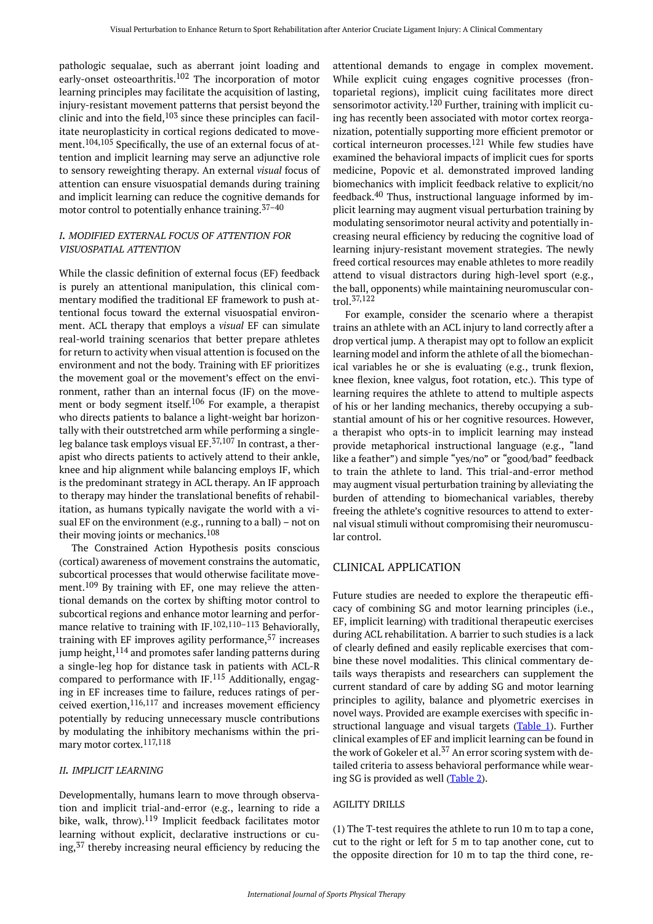pathologic sequalae, such as aberrant joint loading and early-onset osteoarthritis.<sup>102</sup> The incorporation of motor learning principles may facilitate the acquisition of lasting, injury-resistant movement patterns that persist beyond the clinic and into the field, $103$  since these principles can facilitate neuroplasticity in cortical regions dedicated to movement.<sup>104,105</sup> Specifically, the use of an external focus of attention and implicit learning may serve an adjunctive role to sensory reweighting therapy. An external *visual* focus of attention can ensure visuospatial demands during training and implicit learning can reduce the cognitive demands for motor control to potentially enhance training.  $37-40$ 

#### *I. MODIFIED EXTERNAL FOCUS OF ATTENTION FOR VISUOSPATIAL ATTENTION*

While the classic definition of external focus (EF) feedback is purely an attentional manipulation, this clinical commentary modified the traditional EF framework to push attentional focus toward the external visuospatial environment. ACL therapy that employs a *visual* EF can simulate real-world training scenarios that better prepare athletes for return to activity when visual attention is focused on the environment and not the body. Training with EF prioritizes the movement goal or the movement's effect on the environment, rather than an internal focus (IF) on the movement or body segment itself.<sup>106</sup> For example, a therapist who directs patients to balance a light-weight bar horizontally with their outstretched arm while performing a singleleg balance task employs visual  $EF$ .<sup>37,107</sup> In contrast, a therapist who directs patients to actively attend to their ankle, knee and hip alignment while balancing employs IF, which is the predominant strategy in ACL therapy. An IF approach to therapy may hinder the translational benefits of rehabilitation, as humans typically navigate the world with a visual EF on the environment (e.g., running to a ball) – not on their moving joints or mechanics.<sup>108</sup>

The Constrained Action Hypothesis posits conscious (cortical) awareness of movement constrains the automatic, subcortical processes that would otherwise facilitate movement.<sup>109</sup> By training with EF, one may relieve the attentional demands on the cortex by shifting motor control to subcortical regions and enhance motor learning and performance relative to training with IF.<sup>102,110-113</sup> Behaviorally, training with EF improves agility performance,  $57$  increases jump height,  $114$  and promotes safer landing patterns during a single-leg hop for distance task in patients with ACL-R compared to performance with  $IF<sup>115</sup>$  Additionally, engaging in EF increases time to failure, reduces ratings of perceived exertion,  $116,117$  and increases movement efficiency potentially by reducing unnecessary muscle contributions by modulating the inhibitory mechanisms within the primary motor cortex.117,118

#### *II. IMPLICIT LEARNING*

Developmentally, humans learn to move through observation and implicit trial-and-error (e.g., learning to ride a bike, walk, throw).<sup>119</sup> Implicit feedback facilitates motor learning without explicit, declarative instructions or cuing,<sup>37</sup> thereby increasing neural efficiency by reducing the

attentional demands to engage in complex movement. While explicit cuing engages cognitive processes (frontoparietal regions), implicit cuing facilitates more direct sensorimotor activity.<sup>120</sup> Further, training with implicit cuing has recently been associated with motor cortex reorganization, potentially supporting more efficient premotor or cortical interneuron processes.<sup>121</sup> While few studies have examined the behavioral impacts of implicit cues for sports medicine, Popovic et al. demonstrated improved landing biomechanics with implicit feedback relative to explicit/no feedback.<sup>40</sup> Thus, instructional language informed by implicit learning may augment visual perturbation training by modulating sensorimotor neural activity and potentially increasing neural efficiency by reducing the cognitive load of learning injury-resistant movement strategies. The newly freed cortical resources may enable athletes to more readily attend to visual distractors during high-level sport (e.g., the ball, opponents) while maintaining neuromuscular control.37,122

For example, consider the scenario where a therapist trains an athlete with an ACL injury to land correctly after a drop vertical jump. A therapist may opt to follow an explicit learning model and inform the athlete of all the biomechanical variables he or she is evaluating (e.g., trunk flexion, knee flexion, knee valgus, foot rotation, etc.). This type of learning requires the athlete to attend to multiple aspects of his or her landing mechanics, thereby occupying a substantial amount of his or her cognitive resources. However, a therapist who opts-in to implicit learning may instead provide metaphorical instructional language (e.g., "land like a feather") and simple "yes/no" or "good/bad" feedback to train the athlete to land. This trial-and-error method may augment visual perturbation training by alleviating the burden of attending to biomechanical variables, thereby freeing the athlete's cognitive resources to attend to external visual stimuli without compromising their neuromuscular control.

#### CLINICAL APPLICATION

Future studies are needed to explore the therapeutic efficacy of combining SG and motor learning principles (i.e., EF, implicit learning) with traditional therapeutic exercises during ACL rehabilitation. A barrier to such studies is a lack of clearly defined and easily replicable exercises that combine these novel modalities. This clinical commentary details ways therapists and researchers can supplement the current standard of care by adding SG and motor learning principles to agility, balance and plyometric exercises in novel ways. Provided are example exercises with specific in-structional language and visual targets [\(Table 1\)](#page-4-0). Further clinical examples of EF and implicit learning can be found in the work of Gokeler et al. $37$  An error scoring system with detailed criteria to assess behavioral performance while wearing SG is provided as well [\(Table 2](#page-4-1)).

#### AGILITY DRILLS

(1) The T-test requires the athlete to run 10 m to tap a cone, cut to the right or left for 5 m to tap another cone, cut to the opposite direction for 10 m to tap the third cone, re-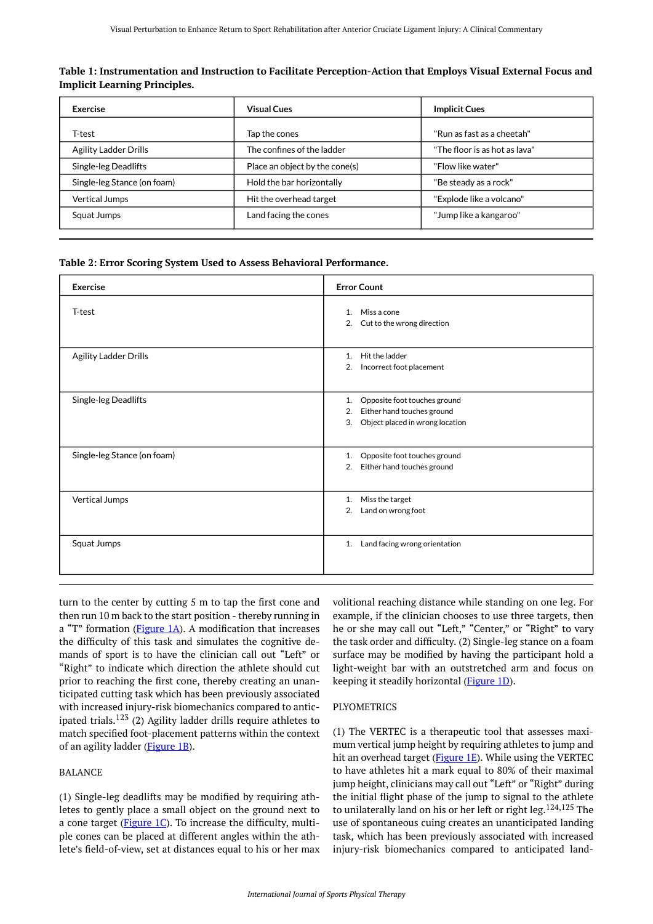| Exercise                     | <b>Visual Cues</b>             | <b>Implicit Cues</b>          |
|------------------------------|--------------------------------|-------------------------------|
| T-test                       | Tap the cones                  | "Run as fast as a cheetah"    |
| <b>Agility Ladder Drills</b> | The confines of the ladder     | "The floor is as hot as lava" |
| Single-leg Deadlifts         | Place an object by the cone(s) | "Flow like water"             |
| Single-leg Stance (on foam)  | Hold the bar horizontally      | "Be steady as a rock"         |
| <b>Vertical Jumps</b>        | Hit the overhead target        | "Explode like a volcano"      |
| Squat Jumps                  | Land facing the cones          | "Jump like a kangaroo"        |

<span id="page-4-0"></span>**Table 1: Instrumentation and Instruction to Facilitate Perception-Action that Employs Visual External Focus and Implicit Learning Principles.** 

#### <span id="page-4-1"></span>**Table 2: Error Scoring System Used to Assess Behavioral Performance.**

| <b>Exercise</b>              | <b>Error Count</b>                                                                                              |
|------------------------------|-----------------------------------------------------------------------------------------------------------------|
| T-test                       | Miss a cone<br>1.<br>Cut to the wrong direction<br>2.                                                           |
| <b>Agility Ladder Drills</b> | Hit the ladder<br>1.<br>Incorrect foot placement<br>2.                                                          |
| Single-leg Deadlifts         | Opposite foot touches ground<br>1.<br>Either hand touches ground<br>2.<br>3.<br>Object placed in wrong location |
| Single-leg Stance (on foam)  | Opposite foot touches ground<br>1.<br>Either hand touches ground<br>2.                                          |
| Vertical Jumps               | Miss the target<br>1.<br>2.<br>Land on wrong foot                                                               |
| Squat Jumps                  | Land facing wrong orientation<br>1.                                                                             |

turn to the center by cutting 5 m to tap the first cone and then run 10 m back to the start position - thereby running in a "T" formation  $(Figure 1A)$ . A modification that increases the difficulty of this task and simulates the cognitive demands of sport is to have the clinician call out "Left" or "Right" to indicate which direction the athlete should cut prior to reaching the first cone, thereby creating an unanticipated cutting task which has been previously associated with increased injury-risk biomechanics compared to anticipated trials.<sup>123</sup> (2) Agility ladder drills require athletes to match specified foot-placement patterns within the context of an agility ladder (*Figure 1B*).

#### BALANCE

(1) Single-leg deadlifts may be modified by requiring athletes to gently place a small object on the ground next to a cone target (*Figure 1C*). To increase the difficulty, multiple cones can be placed at different angles within the athlete's field-of-view, set at distances equal to his or her max

volitional reaching distance while standing on one leg. For example, if the clinician chooses to use three targets, then he or she may call out "Left," "Center," or "Right" to vary the task order and difficulty. (2) Single-leg stance on a foam surface may be modified by having the participant hold a light-weight bar with an outstretched arm and focus on keeping it steadily horizontal ([Figure 1D\)](#page-5-0).

#### PLYOMETRICS

(1) The VERTEC is a therapeutic tool that assesses maximum vertical jump height by requiring athletes to jump and hit an overhead target [\(Figure 1E\)](#page-5-0). While using the VERTEC to have athletes hit a mark equal to 80% of their maximal jump height, clinicians may call out "Left" or "Right" during the initial flight phase of the jump to signal to the athlete to unilaterally land on his or her left or right leg.<sup>124,125</sup> The use of spontaneous cuing creates an unanticipated landing task, which has been previously associated with increased injury-risk biomechanics compared to anticipated land-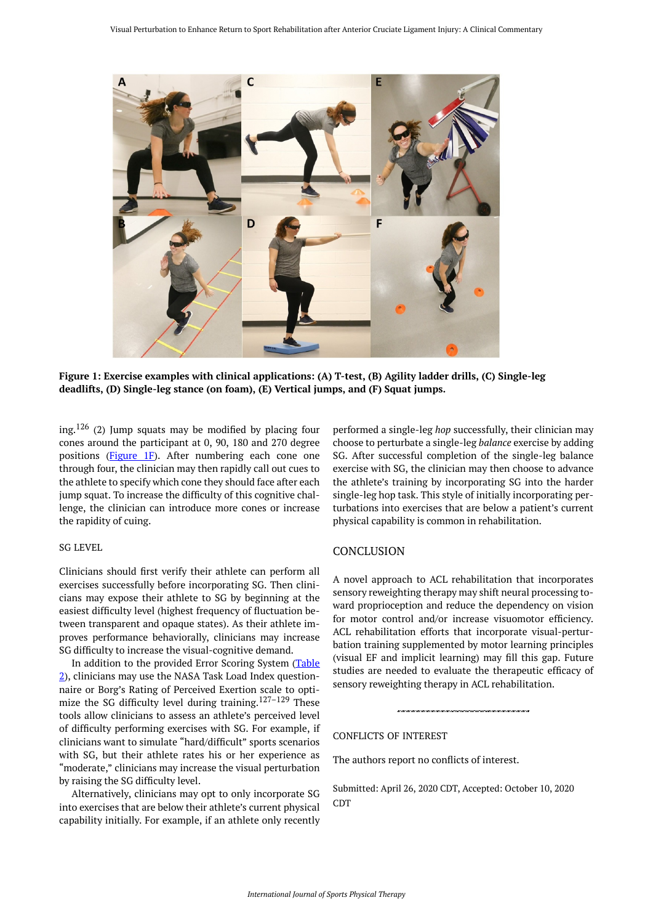<span id="page-5-0"></span>

**Figure 1: Exercise examples with clinical applications: (A) T-test, (B) Agility ladder drills, (C) Single-leg deadlifts, (D) Single-leg stance (on foam), (E) Vertical jumps, and (F) Squat jumps.** 

ing.<sup>126</sup> (2) Jump squats may be modified by placing four cones around the participant at 0, 90, 180 and 270 degree positions ([Figure 1F\)](#page-5-0). After numbering each cone one through four, the clinician may then rapidly call out cues to the athlete to specify which cone they should face after each jump squat. To increase the difficulty of this cognitive challenge, the clinician can introduce more cones or increase the rapidity of cuing.

#### SG LEVEL

Clinicians should first verify their athlete can perform all exercises successfully before incorporating SG. Then clinicians may expose their athlete to SG by beginning at the easiest difficulty level (highest frequency of fluctuation between transparent and opaque states). As their athlete improves performance behaviorally, clinicians may increase SG difficulty to increase the visual-cognitive demand.

In addition to the provided Error Scoring System (Table [2\)](#page-4-1), clinicians may use the NASA Task Load Index questionnaire or Borg's Rating of Perceived Exertion scale to optimize the SG difficulty level during training.127–129 These tools allow clinicians to assess an athlete's perceived level of difficulty performing exercises with SG. For example, if clinicians want to simulate "hard/difficult" sports scenarios with SG, but their athlete rates his or her experience as "moderate," clinicians may increase the visual perturbation by raising the SG difficulty level.

Alternatively, clinicians may opt to only incorporate SG into exercises that are below their athlete's current physical capability initially. For example, if an athlete only recently

performed a single-leg *hop* successfully, their clinician may choose to perturbate a single-leg *balance* exercise by adding SG. After successful completion of the single-leg balance exercise with SG, the clinician may then choose to advance the athlete's training by incorporating SG into the harder single-leg hop task. This style of initially incorporating perturbations into exercises that are below a patient's current physical capability is common in rehabilitation.

#### **CONCLUSION**

A novel approach to ACL rehabilitation that incorporates sensory reweighting therapy may shift neural processing toward proprioception and reduce the dependency on vision for motor control and/or increase visuomotor efficiency. ACL rehabilitation efforts that incorporate visual-perturbation training supplemented by motor learning principles (visual EF and implicit learning) may fill this gap. Future studies are needed to evaluate the therapeutic efficacy of sensory reweighting therapy in ACL rehabilitation.

#### CONFLICTS OF INTEREST

The authors report no conflicts of interest.

Submitted: April 26, 2020 CDT, Accepted: October 10, 2020 CDT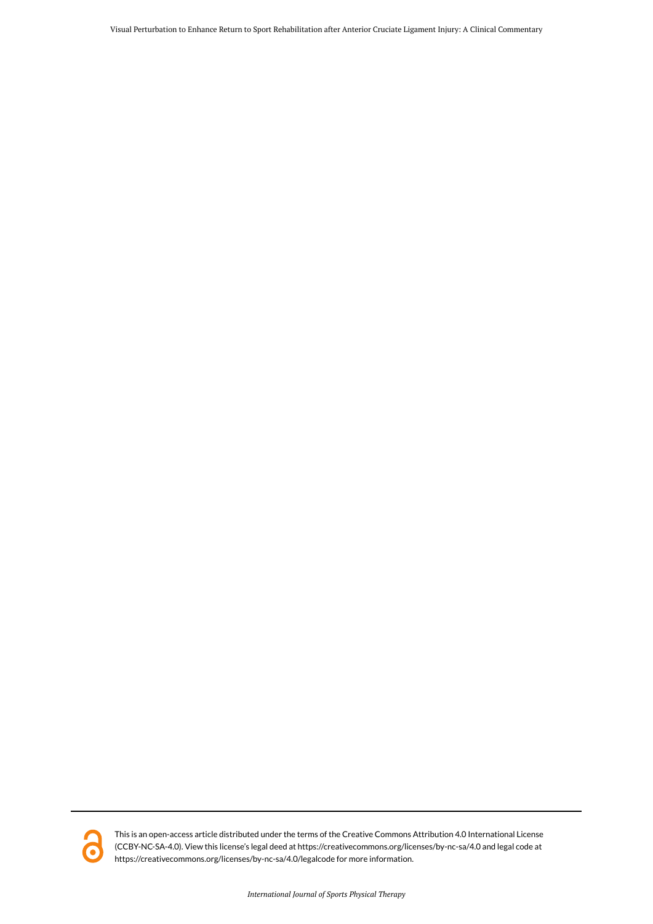Visual Perturbation to Enhance Return to Sport Rehabilitation after Anterior Cruciate Ligament Injury: A Clinical Commentary



This is an open-access article distributed under the terms of the Creative Commons Attribution 4.0 International License (CCBY-NC-SA-4.0). View this license's legal deed at https://creativecommons.org/licenses/by-nc-sa/4.0 and legal code at https://creativecommons.org/licenses/by-nc-sa/4.0/legalcode for more information.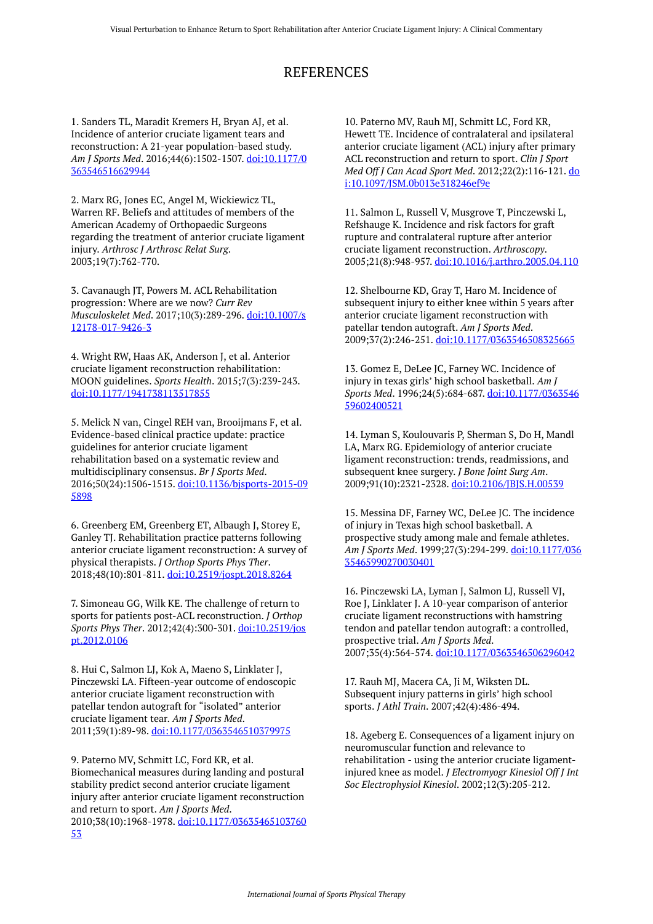## REFERENCES

1. Sanders TL, Maradit Kremers H, Bryan AJ, et al. Incidence of anterior cruciate ligament tears and reconstruction: A 21-year population-based study. *Am J Sports Med*. 2016;44(6):1502-1507. [doi:10.1177/0](https://doi.org/10.1177/0363546516629944) [363546516629944](https://doi.org/10.1177/0363546516629944) 

2. Marx RG, Jones EC, Angel M, Wickiewicz TL, Warren RF. Beliefs and attitudes of members of the American Academy of Orthopaedic Surgeons regarding the treatment of anterior cruciate ligament injury. *Arthrosc J Arthrosc Relat Surg*. 2003;19(7):762-770.

3. Cavanaugh JT, Powers M. ACL Rehabilitation progression: Where are we now? *Curr Rev Musculoskelet Med*. 2017;10(3):289-296. [doi:10.1007/s](https://doi.org/10.1007/s12178-017-9426-3) [12178-017-9426-3](https://doi.org/10.1007/s12178-017-9426-3)

4. Wright RW, Haas AK, Anderson J, et al. Anterior cruciate ligament reconstruction rehabilitation: MOON guidelines. *Sports Health*. 2015;7(3):239-243. [doi:10.1177/1941738113517855](https://doi.org/10.1177/1941738113517855) 

5. Melick N van, Cingel REH van, Brooijmans F, et al. Evidence-based clinical practice update: practice guidelines for anterior cruciate ligament rehabilitation based on a systematic review and multidisciplinary consensus. *Br J Sports Med*. 2016;50(24):1506-1515. [doi:10.1136/bjsports-2015-09](https://doi.org/10.1136/bjsports-2015-095898) [5898](https://doi.org/10.1136/bjsports-2015-095898) 

6. Greenberg EM, Greenberg ET, Albaugh J, Storey E, Ganley TJ. Rehabilitation practice patterns following anterior cruciate ligament reconstruction: A survey of physical therapists. *J Orthop Sports Phys Ther*. 2018;48(10):801-811. [doi:10.2519/jospt.2018.8264](https://doi.org/10.2519/jospt.2018.8264) 

7. Simoneau GG, Wilk KE. The challenge of return to sports for patients post-ACL reconstruction. *J Orthop Sports Phys Ther*. 2012;42(4):300-301. [doi:10.2519/jos](https://doi.org/10.2519/jospt.2012.0106) [pt.2012.0106](https://doi.org/10.2519/jospt.2012.0106) 

8. Hui C, Salmon LJ, Kok A, Maeno S, Linklater J, Pinczewski LA. Fifteen-year outcome of endoscopic anterior cruciate ligament reconstruction with patellar tendon autograft for "isolated" anterior cruciate ligament tear. *Am J Sports Med*. 2011;39(1):89-98. [doi:10.1177/0363546510379975](https://doi.org/10.1177/0363546510379975) 

9. Paterno MV, Schmitt LC, Ford KR, et al. Biomechanical measures during landing and postural stability predict second anterior cruciate ligament injury after anterior cruciate ligament reconstruction and return to sport. *Am J Sports Med*. 2010;38(10):1968-1978. [doi:10.1177/03635465103760](https://doi.org/10.1177/0363546510376053) [53](https://doi.org/10.1177/0363546510376053)

10. Paterno MV, Rauh MJ, Schmitt LC, Ford KR, Hewett TE. Incidence of contralateral and ipsilateral anterior cruciate ligament (ACL) injury after primary ACL reconstruction and return to sport. *Clin J Sport Med Off J Can Acad Sport Med*. 2012;22(2):116-121. [do](https://doi.org/10.1097/JSM.0b013e318246ef9e) [i:10.1097/JSM.0b013e318246ef9e](https://doi.org/10.1097/JSM.0b013e318246ef9e)

11. Salmon L, Russell V, Musgrove T, Pinczewski L, Refshauge K. Incidence and risk factors for graft rupture and contralateral rupture after anterior cruciate ligament reconstruction. *Arthroscopy*. 2005;21(8):948-957. [doi:10.1016/j.arthro.2005.04.110](https://doi.org/10.1016/j.arthro.2005.04.110)

12. Shelbourne KD, Gray T, Haro M. Incidence of subsequent injury to either knee within 5 years after anterior cruciate ligament reconstruction with patellar tendon autograft. *Am J Sports Med*. 2009;37(2):246-251. [doi:10.1177/0363546508325665](https://doi.org/10.1177/0363546508325665)

13. Gomez E, DeLee JC, Farney WC. Incidence of injury in texas girls' high school basketball. *Am J Sports Med*. 1996;24(5):684-687. [doi:10.1177/0363546](https://doi.org/10.1177/036354659602400521) [59602400521](https://doi.org/10.1177/036354659602400521)

14. Lyman S, Koulouvaris P, Sherman S, Do H, Mandl LA, Marx RG. Epidemiology of anterior cruciate ligament reconstruction: trends, readmissions, and subsequent knee surgery. *J Bone Joint Surg Am*. 2009;91(10):2321-2328. [doi:10.2106/JBJS.H.00539](https://doi.org/10.2106/JBJS.H.00539) 

15. Messina DF, Farney WC, DeLee JC. The incidence of injury in Texas high school basketball. A prospective study among male and female athletes. *Am J Sports Med*. 1999;27(3):294-299. [doi:10.1177/036](https://doi.org/10.1177/03635465990270030401) [35465990270030401](https://doi.org/10.1177/03635465990270030401) 

16. Pinczewski LA, Lyman J, Salmon LJ, Russell VJ, Roe J, Linklater J. A 10-year comparison of anterior cruciate ligament reconstructions with hamstring tendon and patellar tendon autograft: a controlled, prospective trial. *Am J Sports Med*. 2007;35(4):564-574. [doi:10.1177/0363546506296042](https://doi.org/10.1177/0363546506296042)

17. Rauh MJ, Macera CA, Ji M, Wiksten DL. Subsequent injury patterns in girls' high school sports. *J Athl Train*. 2007;42(4):486-494.

18. Ageberg E. Consequences of a ligament injury on neuromuscular function and relevance to rehabilitation - using the anterior cruciate ligamentinjured knee as model. *J Electromyogr Kinesiol Off J Int Soc Electrophysiol Kinesiol*. 2002;12(3):205-212.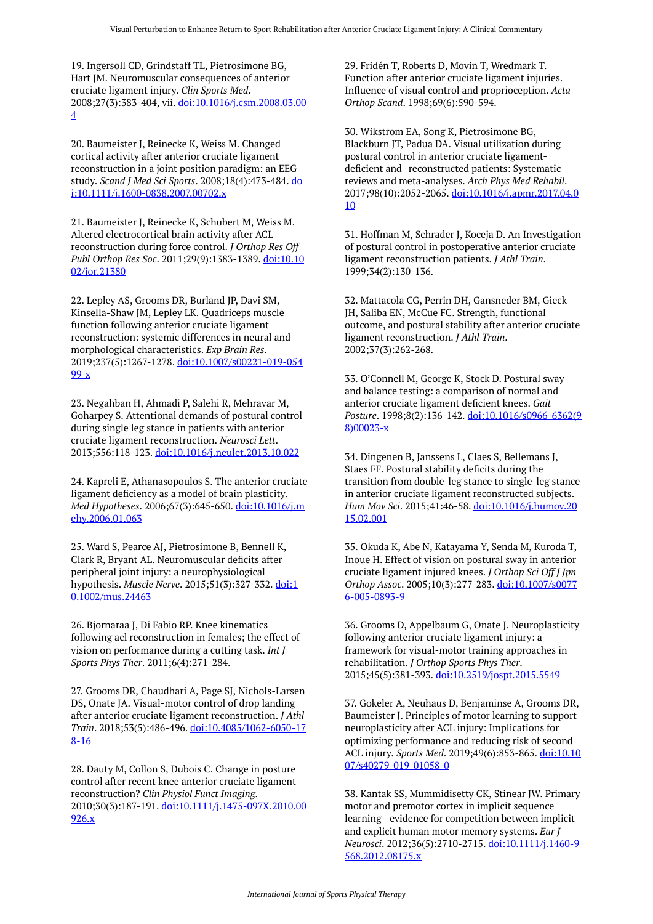19. Ingersoll CD, Grindstaff TL, Pietrosimone BG, Hart JM. Neuromuscular consequences of anterior cruciate ligament injury. *Clin Sports Med*. 2008;27(3):383-404, vii. [doi:10.1016/j.csm.2008.03.00](https://doi.org/10.1016/j.csm.2008.03.004) [4](https://doi.org/10.1016/j.csm.2008.03.004) 

20. Baumeister J, Reinecke K, Weiss M. Changed cortical activity after anterior cruciate ligament reconstruction in a joint position paradigm: an EEG study. *Scand J Med Sci Sports*. 2008;18(4):473-484. [do](https://doi.org/10.1111/j.1600-0838.2007.00702.x) [i:10.1111/j.1600-0838.2007.00702.x](https://doi.org/10.1111/j.1600-0838.2007.00702.x) 

21. Baumeister J, Reinecke K, Schubert M, Weiss M. Altered electrocortical brain activity after ACL reconstruction during force control. *J Orthop Res Off Publ Orthop Res Soc*. 2011;29(9):1383-1389. [doi:10.10](https://doi.org/10.1002/jor.21380) [02/jor.21380](https://doi.org/10.1002/jor.21380) 

22. Lepley AS, Grooms DR, Burland JP, Davi SM, Kinsella-Shaw JM, Lepley LK. Quadriceps muscle function following anterior cruciate ligament reconstruction: systemic differences in neural and morphological characteristics. *Exp Brain Res*. 2019;237(5):1267-1278. [doi:10.1007/s00221-019-054](https://doi.org/10.1007/s00221-019-05499-x) [99-x](https://doi.org/10.1007/s00221-019-05499-x) 

23. Negahban H, Ahmadi P, Salehi R, Mehravar M, Goharpey S. Attentional demands of postural control during single leg stance in patients with anterior cruciate ligament reconstruction. *Neurosci Lett*. 2013;556:118-123. [doi:10.1016/j.neulet.2013.10.022](https://doi.org/10.1016/j.neulet.2013.10.022)

24. Kapreli E, Athanasopoulos S. The anterior cruciate ligament deficiency as a model of brain plasticity. *Med Hypotheses*. 2006;67(3):645-650. [doi:10.1016/j.m](https://doi.org/10.1016/j.mehy.2006.01.063) [ehy.2006.01.063](https://doi.org/10.1016/j.mehy.2006.01.063)

25. Ward S, Pearce AJ, Pietrosimone B, Bennell K, Clark R, Bryant AL. Neuromuscular deficits after peripheral joint injury: a neurophysiological hypothesis. *Muscle Nerve*. 2015;51(3):327-332. [doi:1](https://doi.org/10.1002/mus.24463) [0.1002/mus.24463](https://doi.org/10.1002/mus.24463) 

26. Bjornaraa J, Di Fabio RP. Knee kinematics following acl reconstruction in females; the effect of vision on performance during a cutting task. *Int J Sports Phys Ther*. 2011;6(4):271-284.

27. Grooms DR, Chaudhari A, Page SJ, Nichols-Larsen DS, Onate JA. Visual-motor control of drop landing after anterior cruciate ligament reconstruction. *J Athl Train*. 2018;53(5):486-496. [doi:10.4085/1062-6050-17](https://doi.org/10.4085/1062-6050-178-16) [8-16](https://doi.org/10.4085/1062-6050-178-16)

28. Dauty M, Collon S, Dubois C. Change in posture control after recent knee anterior cruciate ligament reconstruction? *Clin Physiol Funct Imaging*. 2010;30(3):187-191. [doi:10.1111/j.1475-097X.2010.00](https://doi.org/10.1111/j.1475-097X.2010.00926.x) [926.x](https://doi.org/10.1111/j.1475-097X.2010.00926.x)

29. Fridén T, Roberts D, Movin T, Wredmark T. Function after anterior cruciate ligament injuries. Influence of visual control and proprioception. *Acta Orthop Scand*. 1998;69(6):590-594.

30. Wikstrom EA, Song K, Pietrosimone BG, Blackburn JT, Padua DA. Visual utilization during postural control in anterior cruciate ligamentdeficient and -reconstructed patients: Systematic reviews and meta-analyses. *Arch Phys Med Rehabil*. 2017;98(10):2052-2065. [doi:10.1016/j.apmr.2017.04.0](https://doi.org/10.1016/j.apmr.2017.04.010) [10](https://doi.org/10.1016/j.apmr.2017.04.010)

31. Hoffman M, Schrader J, Koceja D. An Investigation of postural control in postoperative anterior cruciate ligament reconstruction patients. *J Athl Train*. 1999;34(2):130-136.

32. Mattacola CG, Perrin DH, Gansneder BM, Gieck JH, Saliba EN, McCue FC. Strength, functional outcome, and postural stability after anterior cruciate ligament reconstruction. *J Athl Train*. 2002;37(3):262-268.

33. O'Connell M, George K, Stock D. Postural sway and balance testing: a comparison of normal and anterior cruciate ligament deficient knees. *Gait Posture*. 1998;8(2):136-142. [doi:10.1016/s0966-6362\(9](https://doi.org/10.1016/s0966-6362(98)00023-x) [8\)00023-x](https://doi.org/10.1016/s0966-6362(98)00023-x) 

34. Dingenen B, Janssens L, Claes S, Bellemans J, Staes FF. Postural stability deficits during the transition from double-leg stance to single-leg stance in anterior cruciate ligament reconstructed subjects. *Hum Mov Sci*. 2015;41:46-58. [doi:10.1016/j.humov.20](https://doi.org/10.1016/j.humov.2015.02.001) [15.02.001](https://doi.org/10.1016/j.humov.2015.02.001)

35. Okuda K, Abe N, Katayama Y, Senda M, Kuroda T, Inoue H. Effect of vision on postural sway in anterior cruciate ligament injured knees. *J Orthop Sci Off J Jpn Orthop Assoc*. 2005;10(3):277-283. [doi:10.1007/s0077](https://doi.org/10.1007/s00776-005-0893-9) [6-005-0893-9](https://doi.org/10.1007/s00776-005-0893-9)

36. Grooms D, Appelbaum G, Onate J. Neuroplasticity following anterior cruciate ligament injury: a framework for visual-motor training approaches in rehabilitation. *J Orthop Sports Phys Ther*. 2015;45(5):381-393. [doi:10.2519/jospt.2015.5549](https://doi.org/10.2519/jospt.2015.5549) 

37. Gokeler A, Neuhaus D, Benjaminse A, Grooms DR, Baumeister J. Principles of motor learning to support neuroplasticity after ACL injury: Implications for optimizing performance and reducing risk of second ACL injury. *Sports Med*. 2019;49(6):853-865. [doi:10.10](https://doi.org/10.1007/s40279-019-01058-0) [07/s40279-019-01058-0](https://doi.org/10.1007/s40279-019-01058-0) 

38. Kantak SS, Mummidisetty CK, Stinear JW. Primary motor and premotor cortex in implicit sequence learning--evidence for competition between implicit and explicit human motor memory systems. *Eur J Neurosci*. 2012;36(5):2710-2715. [doi:10.1111/j.1460-9](https://doi.org/10.1111/j.1460-9568.2012.08175.x) [568.2012.08175.x](https://doi.org/10.1111/j.1460-9568.2012.08175.x)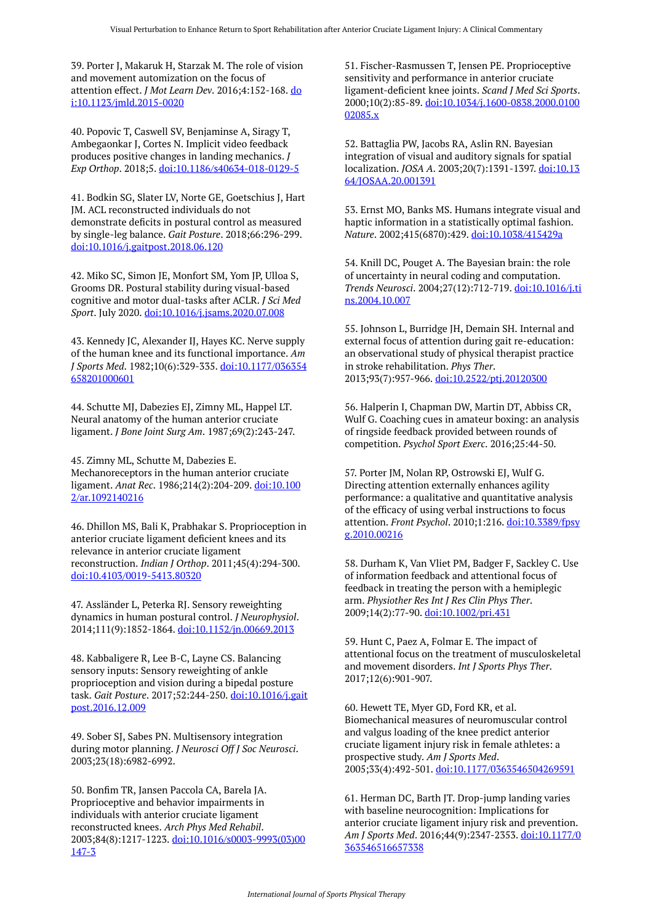39. Porter J, Makaruk H, Starzak M. The role of vision and movement automization on the focus of attention effect. *J Mot Learn Dev*. 2016;4:152-168. [do](https://doi.org/10.1123/jmld.2015-0020) [i:10.1123/jmld.2015-0020](https://doi.org/10.1123/jmld.2015-0020) 

40. Popovic T, Caswell SV, Benjaminse A, Siragy T, Ambegaonkar J, Cortes N. Implicit video feedback produces positive changes in landing mechanics. *J Exp Orthop*. 2018;5. [doi:10.1186/s40634-018-0129-5](https://doi.org/10.1186/s40634-018-0129-5) 

41. Bodkin SG, Slater LV, Norte GE, Goetschius J, Hart JM. ACL reconstructed individuals do not demonstrate deficits in postural control as measured by single-leg balance. *Gait Posture*. 2018;66:296-299. [doi:10.1016/j.gaitpost.2018.06.120](https://doi.org/10.1016/j.gaitpost.2018.06.120)

42. Miko SC, Simon JE, Monfort SM, Yom JP, Ulloa S, Grooms DR. Postural stability during visual-based cognitive and motor dual-tasks after ACLR. *J Sci Med Sport*. July 2020. [doi:10.1016/j.jsams.2020.07.008](https://doi.org/10.1016/j.jsams.2020.07.008)

43. Kennedy JC, Alexander IJ, Hayes KC. Nerve supply of the human knee and its functional importance. *Am J Sports Med*. 1982;10(6):329-335. [doi:10.1177/036354](https://doi.org/10.1177/036354658201000601) [658201000601](https://doi.org/10.1177/036354658201000601)

44. Schutte MJ, Dabezies EJ, Zimny ML, Happel LT. Neural anatomy of the human anterior cruciate ligament. *J Bone Joint Surg Am*. 1987;69(2):243-247.

45. Zimny ML, Schutte M, Dabezies E. Mechanoreceptors in the human anterior cruciate ligament. *Anat Rec*. 1986;214(2):204-209. [doi:10.100](https://doi.org/10.1002/ar.1092140216) [2/ar.1092140216](https://doi.org/10.1002/ar.1092140216) 

46. Dhillon MS, Bali K, Prabhakar S. Proprioception in anterior cruciate ligament deficient knees and its relevance in anterior cruciate ligament reconstruction. *Indian J Orthop*. 2011;45(4):294-300. [doi:10.4103/0019-5413.80320](https://doi.org/10.4103/0019-5413.80320) 

47. Assländer L, Peterka RJ. Sensory reweighting dynamics in human postural control. *J Neurophysiol*. 2014;111(9):1852-1864. [doi:10.1152/jn.00669.2013](https://doi.org/10.1152/jn.00669.2013)

48. Kabbaligere R, Lee B-C, Layne CS. Balancing sensory inputs: Sensory reweighting of ankle proprioception and vision during a bipedal posture task. *Gait Posture*. 2017;52:244-250. [doi:10.1016/j.gait](https://doi.org/10.1016/j.gaitpost.2016.12.009) [post.2016.12.009](https://doi.org/10.1016/j.gaitpost.2016.12.009) 

49. Sober SJ, Sabes PN. Multisensory integration during motor planning. *J Neurosci Off J Soc Neurosci*. 2003;23(18):6982-6992.

50. Bonfim TR, Jansen Paccola CA, Barela JA. Proprioceptive and behavior impairments in individuals with anterior cruciate ligament reconstructed knees. *Arch Phys Med Rehabil*. 2003;84(8):1217-1223. [doi:10.1016/s0003-9993\(03\)00](https://doi.org/10.1016/s0003-9993(03)00147-3) [147-3](https://doi.org/10.1016/s0003-9993(03)00147-3)

51. Fischer-Rasmussen T, Jensen PE. Proprioceptive sensitivity and performance in anterior cruciate ligament-deficient knee joints. *Scand J Med Sci Sports*. 2000;10(2):85-89. [doi:10.1034/j.1600-0838.2000.0100](https://doi.org/10.1034/j.1600-0838.2000.010002085.x) [02085.x](https://doi.org/10.1034/j.1600-0838.2000.010002085.x) 

52. Battaglia PW, Jacobs RA, Aslin RN. Bayesian integration of visual and auditory signals for spatial localization. *JOSA A*. 2003;20(7):1391-1397. [doi:10.13](https://doi.org/10.1364/JOSAA.20.001391) [64/JOSAA.20.001391](https://doi.org/10.1364/JOSAA.20.001391)

53. Ernst MO, Banks MS. Humans integrate visual and haptic information in a statistically optimal fashion. *Nature*. 2002;415(6870):429. [doi:10.1038/415429a](https://doi.org/10.1038/415429a)

54. Knill DC, Pouget A. The Bayesian brain: the role of uncertainty in neural coding and computation. *Trends Neurosci*. 2004;27(12):712-719. [doi:10.1016/j.ti](https://doi.org/10.1016/j.tins.2004.10.007) [ns.2004.10.007](https://doi.org/10.1016/j.tins.2004.10.007)

55. Johnson L, Burridge JH, Demain SH. Internal and external focus of attention during gait re-education: an observational study of physical therapist practice in stroke rehabilitation. *Phys Ther*. 2013;93(7):957-966. [doi:10.2522/ptj.20120300](https://doi.org/10.2522/ptj.20120300) 

56. Halperin I, Chapman DW, Martin DT, Abbiss CR, Wulf G. Coaching cues in amateur boxing: an analysis of ringside feedback provided between rounds of competition. *Psychol Sport Exerc*. 2016;25:44-50.

57. Porter JM, Nolan RP, Ostrowski EJ, Wulf G. Directing attention externally enhances agility performance: a qualitative and quantitative analysis of the efficacy of using verbal instructions to focus attention. *Front Psychol*. 2010;1:216. [doi:10.3389/fpsy](https://doi.org/10.3389/fpsyg.2010.00216) [g.2010.00216](https://doi.org/10.3389/fpsyg.2010.00216)

58. Durham K, Van Vliet PM, Badger F, Sackley C. Use of information feedback and attentional focus of feedback in treating the person with a hemiplegic arm. *Physiother Res Int J Res Clin Phys Ther*. 2009;14(2):77-90. [doi:10.1002/pri.431](https://doi.org/10.1002/pri.431) 

59. Hunt C, Paez A, Folmar E. The impact of attentional focus on the treatment of musculoskeletal and movement disorders. *Int J Sports Phys Ther*. 2017;12(6):901-907.

60. Hewett TE, Myer GD, Ford KR, et al. Biomechanical measures of neuromuscular control and valgus loading of the knee predict anterior cruciate ligament injury risk in female athletes: a prospective study. *Am J Sports Med*. 2005;33(4):492-501. [doi:10.1177/0363546504269591](https://doi.org/10.1177/0363546504269591)

61. Herman DC, Barth JT. Drop-jump landing varies with baseline neurocognition: Implications for anterior cruciate ligament injury risk and prevention. *Am J Sports Med*. 2016;44(9):2347-2353. [doi:10.1177/0](https://doi.org/10.1177/0363546516657338) [363546516657338](https://doi.org/10.1177/0363546516657338)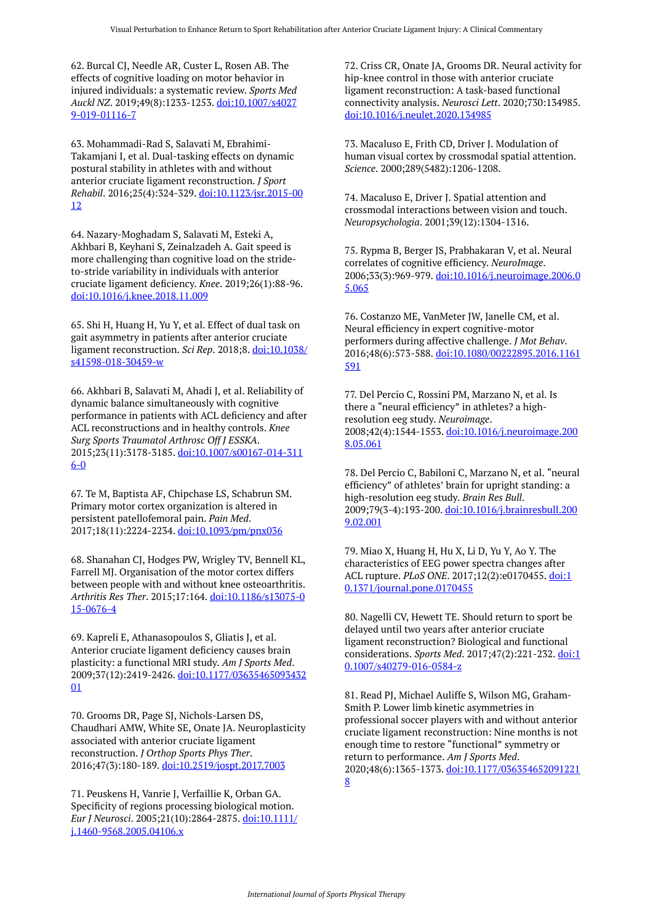62. Burcal CJ, Needle AR, Custer L, Rosen AB. The effects of cognitive loading on motor behavior in injured individuals: a systematic review. *Sports Med Auckl NZ*. 2019;49(8):1233-1253. [doi:10.1007/s4027](https://doi.org/10.1007/s40279-019-01116-7) [9-019-01116-7](https://doi.org/10.1007/s40279-019-01116-7)

63. Mohammadi-Rad S, Salavati M, Ebrahimi-Takamjani I, et al. Dual-tasking effects on dynamic postural stability in athletes with and without anterior cruciate ligament reconstruction. *J Sport Rehabil*. 2016;25(4):324-329. [doi:10.1123/jsr.2015-00](https://doi.org/10.1123/jsr.2015-0012) [12](https://doi.org/10.1123/jsr.2015-0012)

64. Nazary-Moghadam S, Salavati M, Esteki A, Akhbari B, Keyhani S, Zeinalzadeh A. Gait speed is more challenging than cognitive load on the strideto-stride variability in individuals with anterior cruciate ligament deficiency. *Knee*. 2019;26(1):88-96. [doi:10.1016/j.knee.2018.11.009](https://doi.org/10.1016/j.knee.2018.11.009) 

65. Shi H, Huang H, Yu Y, et al. Effect of dual task on gait asymmetry in patients after anterior cruciate ligament reconstruction. *Sci Rep*. 2018;8. [doi:10.1038/](https://doi.org/10.1038/s41598-018-30459-w) [s41598-018-30459-w](https://doi.org/10.1038/s41598-018-30459-w)

66. Akhbari B, Salavati M, Ahadi J, et al. Reliability of dynamic balance simultaneously with cognitive performance in patients with ACL deficiency and after ACL reconstructions and in healthy controls. *Knee Surg Sports Traumatol Arthrosc Off J ESSKA*. 2015;23(11):3178-3185. [doi:10.1007/s00167-014-311](https://doi.org/10.1007/s00167-014-3116-0) [6-0](https://doi.org/10.1007/s00167-014-3116-0)

67. Te M, Baptista AF, Chipchase LS, Schabrun SM. Primary motor cortex organization is altered in persistent patellofemoral pain. *Pain Med*. 2017;18(11):2224-2234. [doi:10.1093/pm/pnx036](https://doi.org/10.1093/pm/pnx036) 

68. Shanahan CJ, Hodges PW, Wrigley TV, Bennell KL, Farrell MJ. Organisation of the motor cortex differs between people with and without knee osteoarthritis. *Arthritis Res Ther*. 2015;17:164. [doi:10.1186/s13075-0](https://doi.org/10.1186/s13075-015-0676-4) [15-0676-4](https://doi.org/10.1186/s13075-015-0676-4)

69. Kapreli E, Athanasopoulos S, Gliatis J, et al. Anterior cruciate ligament deficiency causes brain plasticity: a functional MRI study. *Am J Sports Med*. 2009;37(12):2419-2426. [doi:10.1177/03635465093432](https://doi.org/10.1177/0363546509343201) [01](https://doi.org/10.1177/0363546509343201)

70. Grooms DR, Page SJ, Nichols-Larsen DS, Chaudhari AMW, White SE, Onate JA. Neuroplasticity associated with anterior cruciate ligament reconstruction. *J Orthop Sports Phys Ther*. 2016;47(3):180-189. [doi:10.2519/jospt.2017.7003](https://doi.org/10.2519/jospt.2017.7003)

71. Peuskens H, Vanrie J, Verfaillie K, Orban GA. Specificity of regions processing biological motion. *Eur J Neurosci*. 2005;21(10):2864-2875. [doi:10.1111/](https://doi.org/10.1111/j.1460-9568.2005.04106.x) [j.1460-9568.2005.04106.x](https://doi.org/10.1111/j.1460-9568.2005.04106.x)

72. Criss CR, Onate JA, Grooms DR. Neural activity for hip-knee control in those with anterior cruciate ligament reconstruction: A task-based functional connectivity analysis. *Neurosci Lett*. 2020;730:134985. [doi:10.1016/j.neulet.2020.134985](https://doi.org/10.1016/j.neulet.2020.134985)

73. Macaluso E, Frith CD, Driver J. Modulation of human visual cortex by crossmodal spatial attention. *Science*. 2000;289(5482):1206-1208.

74. Macaluso E, Driver J. Spatial attention and crossmodal interactions between vision and touch. *Neuropsychologia*. 2001;39(12):1304-1316.

75. Rypma B, Berger JS, Prabhakaran V, et al. Neural correlates of cognitive efficiency. *NeuroImage*. 2006;33(3):969-979. [doi:10.1016/j.neuroimage.2006.0](https://doi.org/10.1016/j.neuroimage.2006.05.065) [5.065](https://doi.org/10.1016/j.neuroimage.2006.05.065)

76. Costanzo ME, VanMeter JW, Janelle CM, et al. Neural efficiency in expert cognitive-motor performers during affective challenge. *J Mot Behav*. 2016;48(6):573-588. [doi:10.1080/00222895.2016.1161](https://doi.org/10.1080/00222895.2016.1161591) [591](https://doi.org/10.1080/00222895.2016.1161591) 

77. Del Percio C, Rossini PM, Marzano N, et al. Is there a "neural efficiency" in athletes? a highresolution eeg study. *Neuroimage*. 2008;42(4):1544-1553. [doi:10.1016/j.neuroimage.200](https://doi.org/10.1016/j.neuroimage.2008.05.061) [8.05.061](https://doi.org/10.1016/j.neuroimage.2008.05.061)

78. Del Percio C, Babiloni C, Marzano N, et al. "neural efficiency" of athletes' brain for upright standing: a high-resolution eeg study. *Brain Res Bull*. 2009;79(3-4):193-200. [doi:10.1016/j.brainresbull.200](https://doi.org/10.1016/j.brainresbull.2009.02.001) [9.02.001](https://doi.org/10.1016/j.brainresbull.2009.02.001)

79. Miao X, Huang H, Hu X, Li D, Yu Y, Ao Y. The characteristics of EEG power spectra changes after ACL rupture. *PLoS ONE*. 2017;12(2):e0170455. [doi:1](https://doi.org/10.1371/journal.pone.0170455) [0.1371/journal.pone.0170455](https://doi.org/10.1371/journal.pone.0170455)

80. Nagelli CV, Hewett TE. Should return to sport be delayed until two years after anterior cruciate ligament reconstruction? Biological and functional considerations. *Sports Med*. 2017;47(2):221-232. [doi:1](https://doi.org/10.1007/s40279-016-0584-z) [0.1007/s40279-016-0584-z](https://doi.org/10.1007/s40279-016-0584-z)

81. Read PJ, Michael Auliffe S, Wilson MG, Graham-Smith P. Lower limb kinetic asymmetries in professional soccer players with and without anterior cruciate ligament reconstruction: Nine months is not enough time to restore "functional" symmetry or return to performance. *Am J Sports Med*. 2020;48(6):1365-1373. [doi:10.1177/036354652091221](https://doi.org/10.1177/0363546520912218) [8](https://doi.org/10.1177/0363546520912218)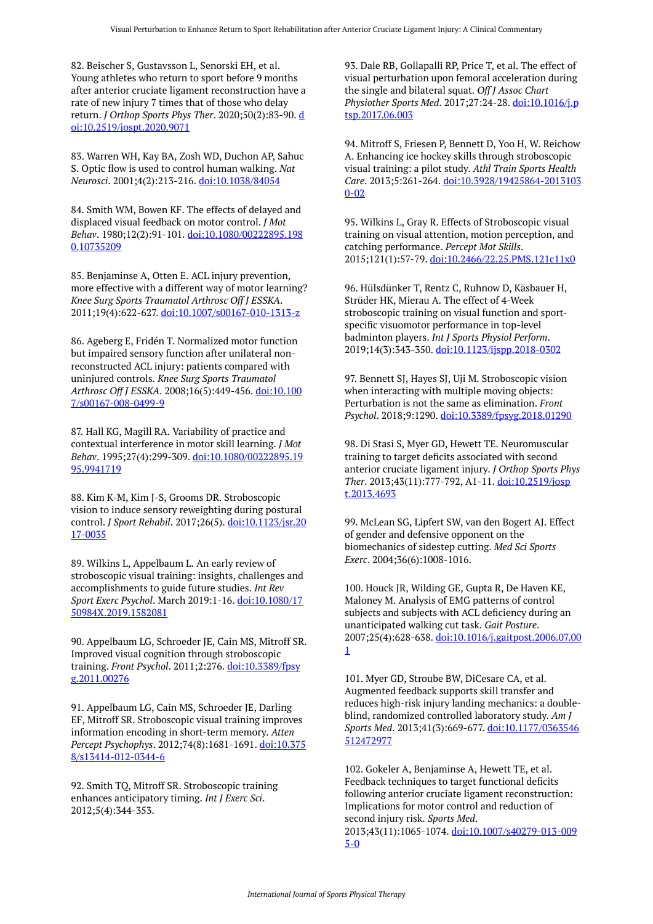82. Beischer S, Gustavsson L, Senorski EH, et al. Young athletes who return to sport before 9 months after anterior cruciate ligament reconstruction have a rate of new injury 7 times that of those who delay return. *J Orthop Sports Phys Ther*. 2020;50(2):83-90. [d](https://doi.org/10.2519/jospt.2020.9071) [oi:10.2519/jospt.2020.9071](https://doi.org/10.2519/jospt.2020.9071)

83. Warren WH, Kay BA, Zosh WD, Duchon AP, Sahuc S. Optic flow is used to control human walking. *Nat Neurosci*. 2001;4(2):213-216. [doi:10.1038/84054](https://doi.org/10.1038/84054)

84. Smith WM, Bowen KF. The effects of delayed and displaced visual feedback on motor control. *J Mot Behav*. 1980;12(2):91-101. [doi:10.1080/00222895.198](https://doi.org/10.1080/00222895.1980.10735209) [0.10735209](https://doi.org/10.1080/00222895.1980.10735209)

85. Benjaminse A, Otten E. ACL injury prevention, more effective with a different way of motor learning? *Knee Surg Sports Traumatol Arthrosc Off J ESSKA*. 2011;19(4):622-627. [doi:10.1007/s00167-010-1313-z](https://doi.org/10.1007/s00167-010-1313-z) 

86. Ageberg E, Fridén T. Normalized motor function but impaired sensory function after unilateral nonreconstructed ACL injury: patients compared with uninjured controls. *Knee Surg Sports Traumatol Arthrosc Off J ESSKA*. 2008;16(5):449-456. [doi:10.100](https://doi.org/10.1007/s00167-008-0499-9) [7/s00167-008-0499-9](https://doi.org/10.1007/s00167-008-0499-9) 

87. Hall KG, Magill RA. Variability of practice and contextual interference in motor skill learning. *J Mot Behav*. 1995;27(4):299-309. [doi:10.1080/00222895.19](https://doi.org/10.1080/00222895.1995.9941719) [95.9941719](https://doi.org/10.1080/00222895.1995.9941719)

88. Kim K-M, Kim J-S, Grooms DR. Stroboscopic vision to induce sensory reweighting during postural control. *J Sport Rehabil*. 2017;26(5). [doi:10.1123/jsr.20](https://doi.org/10.1123/jsr.2017-0035) [17-0035](https://doi.org/10.1123/jsr.2017-0035) 

89. Wilkins L, Appelbaum L. An early review of stroboscopic visual training: insights, challenges and accomplishments to guide future studies. *Int Rev Sport Exerc Psychol*. March 2019:1-16. [doi:10.1080/17](https://doi.org/10.1080/1750984X.2019.1582081) [50984X.2019.1582081](https://doi.org/10.1080/1750984X.2019.1582081) 

90. Appelbaum LG, Schroeder JE, Cain MS, Mitroff SR. Improved visual cognition through stroboscopic training. *Front Psychol*. 2011;2:276. [doi:10.3389/fpsy](https://doi.org/10.3389/fpsyg.2011.00276) [g.2011.00276](https://doi.org/10.3389/fpsyg.2011.00276) 

91. Appelbaum LG, Cain MS, Schroeder JE, Darling EF, Mitroff SR. Stroboscopic visual training improves information encoding in short-term memory. *Atten Percept Psychophys*. 2012;74(8):1681-1691. [doi:10.375](https://doi.org/10.3758/s13414-012-0344-6) [8/s13414-012-0344-6](https://doi.org/10.3758/s13414-012-0344-6)

92. Smith TQ, Mitroff SR. Stroboscopic training enhances anticipatory timing. *Int J Exerc Sci*. 2012;5(4):344-353.

93. Dale RB, Gollapalli RP, Price T, et al. The effect of visual perturbation upon femoral acceleration during the single and bilateral squat. *Off J Assoc Chart Physiother Sports Med*. 2017;27:24-28. [doi:10.1016/j.p](https://doi.org/10.1016/j.ptsp.2017.06.003) [tsp.2017.06.003](https://doi.org/10.1016/j.ptsp.2017.06.003) 

94. Mitroff S, Friesen P, Bennett D, Yoo H, W. Reichow A. Enhancing ice hockey skills through stroboscopic visual training: a pilot study. *Athl Train Sports Health Care*. 2013;5:261-264. [doi:10.3928/19425864-2013103](https://doi.org/10.3928/19425864-20131030-02) [0-02](https://doi.org/10.3928/19425864-20131030-02) 

95. Wilkins L, Gray R. Effects of Stroboscopic visual training on visual attention, motion perception, and catching performance. *Percept Mot Skills*. 2015;121(1):57-79. [doi:10.2466/22.25.PMS.121c11x0](https://doi.org/10.2466/22.25.PMS.121c11x0) 

96. Hülsdünker T, Rentz C, Ruhnow D, Käsbauer H, Strüder HK, Mierau A. The effect of 4-Week stroboscopic training on visual function and sportspecific visuomotor performance in top-level badminton players. *Int J Sports Physiol Perform*. 2019;14(3):343-350. [doi:10.1123/ijspp.2018-0302](https://doi.org/10.1123/ijspp.2018-0302) 

97. Bennett SJ, Hayes SJ, Uji M. Stroboscopic vision when interacting with multiple moving objects: Perturbation is not the same as elimination. *Front Psychol*. 2018;9:1290. [doi:10.3389/fpsyg.2018.01290](https://doi.org/10.3389/fpsyg.2018.01290)

98. Di Stasi S, Myer GD, Hewett TE. Neuromuscular training to target deficits associated with second anterior cruciate ligament injury. *J Orthop Sports Phys Ther*. 2013;43(11):777-792, A1-11. [doi:10.2519/josp](https://doi.org/10.2519/jospt.2013.4693) [t.2013.4693](https://doi.org/10.2519/jospt.2013.4693)

99. McLean SG, Lipfert SW, van den Bogert AJ. Effect of gender and defensive opponent on the biomechanics of sidestep cutting. *Med Sci Sports Exerc*. 2004;36(6):1008-1016.

100. Houck JR, Wilding GE, Gupta R, De Haven KE, Maloney M. Analysis of EMG patterns of control subjects and subjects with ACL deficiency during an unanticipated walking cut task. *Gait Posture*. 2007;25(4):628-638. [doi:10.1016/j.gaitpost.2006.07.00](https://doi.org/10.1016/j.gaitpost.2006.07.001) [1](https://doi.org/10.1016/j.gaitpost.2006.07.001)

101. Myer GD, Stroube BW, DiCesare CA, et al. Augmented feedback supports skill transfer and reduces high-risk injury landing mechanics: a doubleblind, randomized controlled laboratory study. *Am J Sports Med*. 2013;41(3):669-677. [doi:10.1177/0363546](https://doi.org/10.1177/0363546512472977) [512472977](https://doi.org/10.1177/0363546512472977) 

102. Gokeler A, Benjaminse A, Hewett TE, et al. Feedback techniques to target functional deficits following anterior cruciate ligament reconstruction: Implications for motor control and reduction of second injury risk. *Sports Med*. 2013;43(11):1065-1074. [doi:10.1007/s40279-013-009](https://doi.org/10.1007/s40279-013-0095-0) [5-0](https://doi.org/10.1007/s40279-013-0095-0)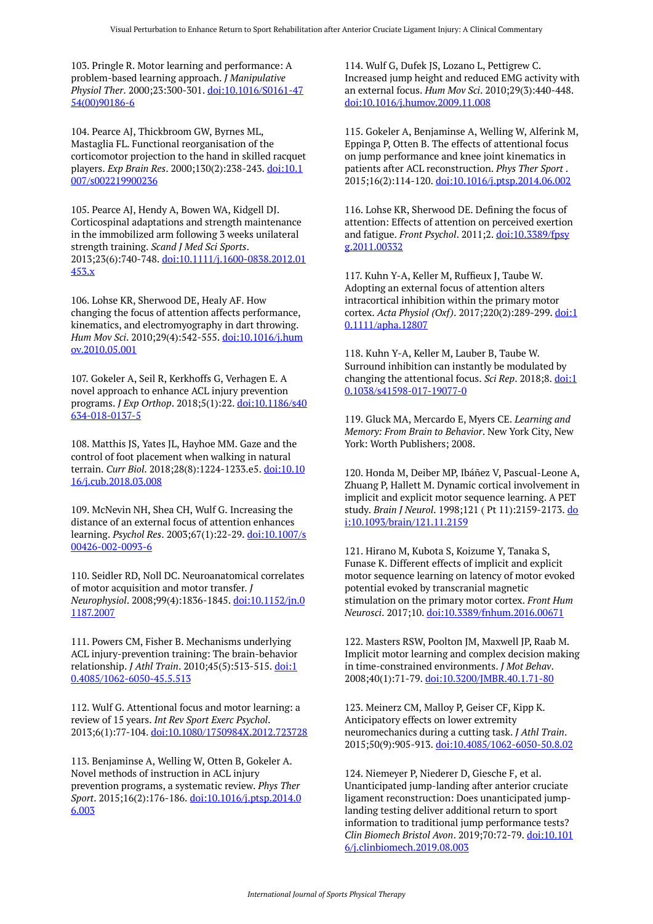103. Pringle R. Motor learning and performance: A problem-based learning approach. *J Manipulative Physiol Ther*. 2000;23:300-301. [doi:10.1016/S0161-47](https://doi.org/10.1016/S0161-4754(00)90186-6) [54\(00\)90186-6](https://doi.org/10.1016/S0161-4754(00)90186-6) 

104. Pearce AJ, Thickbroom GW, Byrnes ML, Mastaglia FL. Functional reorganisation of the corticomotor projection to the hand in skilled racquet players. *Exp Brain Res*. 2000;130(2):238-243. [doi:10.1](https://doi.org/10.1007/s002219900236) [007/s002219900236](https://doi.org/10.1007/s002219900236) 

105. Pearce AJ, Hendy A, Bowen WA, Kidgell DJ. Corticospinal adaptations and strength maintenance in the immobilized arm following 3 weeks unilateral strength training. *Scand J Med Sci Sports*. 2013;23(6):740-748. [doi:10.1111/j.1600-0838.2012.01](https://doi.org/10.1111/j.1600-0838.2012.01453.x) [453.x](https://doi.org/10.1111/j.1600-0838.2012.01453.x)

106. Lohse KR, Sherwood DE, Healy AF. How changing the focus of attention affects performance, kinematics, and electromyography in dart throwing. *Hum Mov Sci*. 2010;29(4):542-555. [doi:10.1016/j.hum](https://doi.org/10.1016/j.humov.2010.05.001) [ov.2010.05.001](https://doi.org/10.1016/j.humov.2010.05.001) 

107. Gokeler A, Seil R, Kerkhoffs G, Verhagen E. A novel approach to enhance ACL injury prevention programs. *J Exp Orthop*. 2018;5(1):22. [doi:10.1186/s40](https://doi.org/10.1186/s40634-018-0137-5) [634-018-0137-5](https://doi.org/10.1186/s40634-018-0137-5) 

108. Matthis JS, Yates JL, Hayhoe MM. Gaze and the control of foot placement when walking in natural terrain. *Curr Biol*. 2018;28(8):1224-1233.e5. [doi:10.10](https://doi.org/10.1016/j.cub.2018.03.008) [16/j.cub.2018.03.008](https://doi.org/10.1016/j.cub.2018.03.008) 

109. McNevin NH, Shea CH, Wulf G. Increasing the distance of an external focus of attention enhances learning. *Psychol Res*. 2003;67(1):22-29. [doi:10.1007/s](https://doi.org/10.1007/s00426-002-0093-6) [00426-002-0093-6](https://doi.org/10.1007/s00426-002-0093-6) 

110. Seidler RD, Noll DC. Neuroanatomical correlates of motor acquisition and motor transfer. *J Neurophysiol*. 2008;99(4):1836-1845. [doi:10.1152/jn.0](https://doi.org/10.1152/jn.01187.2007) [1187.2007](https://doi.org/10.1152/jn.01187.2007) 

111. Powers CM, Fisher B. Mechanisms underlying ACL injury-prevention training: The brain-behavior relationship. *J Athl Train*. 2010;45(5):513-515. [doi:1](https://doi.org/10.4085/1062-6050-45.5.513) [0.4085/1062-6050-45.5.513](https://doi.org/10.4085/1062-6050-45.5.513)

112. Wulf G. Attentional focus and motor learning: a review of 15 years. *Int Rev Sport Exerc Psychol*. 2013;6(1):77-104. [doi:10.1080/1750984X.2012.723728](https://doi.org/10.1080/1750984X.2012.723728)

113. Benjaminse A, Welling W, Otten B, Gokeler A. Novel methods of instruction in ACL injury prevention programs, a systematic review. *Phys Ther Sport*. 2015;16(2):176-186. [doi:10.1016/j.ptsp.2014.0](https://doi.org/10.1016/j.ptsp.2014.06.003) [6.003](https://doi.org/10.1016/j.ptsp.2014.06.003)

114. Wulf G, Dufek JS, Lozano L, Pettigrew C. Increased jump height and reduced EMG activity with an external focus. *Hum Mov Sci*. 2010;29(3):440-448. [doi:10.1016/j.humov.2009.11.008](https://doi.org/10.1016/j.humov.2009.11.008)

115. Gokeler A, Benjaminse A, Welling W, Alferink M, Eppinga P, Otten B. The effects of attentional focus on jump performance and knee joint kinematics in patients after ACL reconstruction. *Phys Ther Sport* . 2015;16(2):114-120. [doi:10.1016/j.ptsp.2014.06.002](https://doi.org/10.1016/j.ptsp.2014.06.002) 

116. Lohse KR, Sherwood DE. Defining the focus of attention: Effects of attention on perceived exertion and fatigue. *Front Psychol*. 2011;2. [doi:10.3389/fpsy](https://doi.org/10.3389/fpsyg.2011.00332) [g.2011.00332](https://doi.org/10.3389/fpsyg.2011.00332)

117. Kuhn Y-A, Keller M, Ruffieux J, Taube W. Adopting an external focus of attention alters intracortical inhibition within the primary motor cortex. *Acta Physiol (Oxf)*. 2017;220(2):289-299. [doi:1](https://doi.org/10.1111/apha.12807) [0.1111/apha.12807](https://doi.org/10.1111/apha.12807) 

118. Kuhn Y-A, Keller M, Lauber B, Taube W. Surround inhibition can instantly be modulated by changing the attentional focus. *Sci Rep*. 2018;8. [doi:1](https://doi.org/10.1038/s41598-017-19077-0) [0.1038/s41598-017-19077-0](https://doi.org/10.1038/s41598-017-19077-0) 

119. Gluck MA, Mercardo E, Myers CE. *Learning and Memory: From Brain to Behavior*. New York City, New York: Worth Publishers; 2008.

120. Honda M, Deiber MP, Ibáñez V, Pascual-Leone A, Zhuang P, Hallett M. Dynamic cortical involvement in implicit and explicit motor sequence learning. A PET study. *Brain J Neurol*. 1998;121 ( Pt 11):2159-2173. [do](https://doi.org/10.1093/brain/121.11.2159) [i:10.1093/brain/121.11.2159](https://doi.org/10.1093/brain/121.11.2159) 

121. Hirano M, Kubota S, Koizume Y, Tanaka S, Funase K. Different effects of implicit and explicit motor sequence learning on latency of motor evoked potential evoked by transcranial magnetic stimulation on the primary motor cortex. *Front Hum Neurosci*. 2017;10. [doi:10.3389/fnhum.2016.00671](https://doi.org/10.3389/fnhum.2016.00671)

122. Masters RSW, Poolton JM, Maxwell JP, Raab M. Implicit motor learning and complex decision making in time-constrained environments. *J Mot Behav*. 2008;40(1):71-79. [doi:10.3200/JMBR.40.1.71-80](https://doi.org/10.3200/JMBR.40.1.71-80) 

123. Meinerz CM, Malloy P, Geiser CF, Kipp K. Anticipatory effects on lower extremity neuromechanics during a cutting task. *J Athl Train*. 2015;50(9):905-913. [doi:10.4085/1062-6050-50.8.02](https://doi.org/10.4085/1062-6050-50.8.02)

124. Niemeyer P, Niederer D, Giesche F, et al. Unanticipated jump-landing after anterior cruciate ligament reconstruction: Does unanticipated jumplanding testing deliver additional return to sport information to traditional jump performance tests? *Clin Biomech Bristol Avon*. 2019;70:72-79. [doi:10.101](https://doi.org/10.1016/j.clinbiomech.2019.08.003) [6/j.clinbiomech.2019.08.003](https://doi.org/10.1016/j.clinbiomech.2019.08.003)